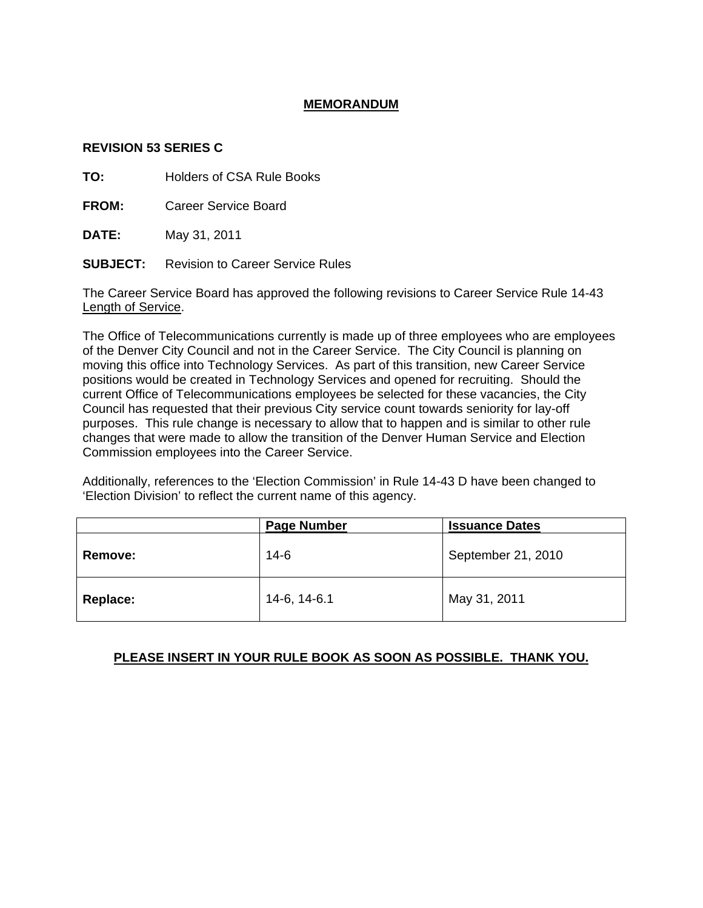## **MEMORANDUM**

## **REVISION 53 SERIES C**

**TO:** Holders of CSA Rule Books

**FROM:** Career Service Board

**DATE:** May 31, 2011

**SUBJECT:** Revision to Career Service Rules

The Career Service Board has approved the following revisions to Career Service Rule 14-43 Length of Service.

The Office of Telecommunications currently is made up of three employees who are employees of the Denver City Council and not in the Career Service. The City Council is planning on moving this office into Technology Services. As part of this transition, new Career Service positions would be created in Technology Services and opened for recruiting. Should the current Office of Telecommunications employees be selected for these vacancies, the City Council has requested that their previous City service count towards seniority for lay-off purposes. This rule change is necessary to allow that to happen and is similar to other rule changes that were made to allow the transition of the Denver Human Service and Election Commission employees into the Career Service.

Additionally, references to the 'Election Commission' in Rule 14-43 D have been changed to 'Election Division' to reflect the current name of this agency.

|                | <b>Page Number</b> | <b>Issuance Dates</b> |
|----------------|--------------------|-----------------------|
| <b>Remove:</b> | 14-6               | September 21, 2010    |
| Replace:       | 14-6, 14-6.1       | May 31, 2011          |

## **PLEASE INSERT IN YOUR RULE BOOK AS SOON AS POSSIBLE. THANK YOU.**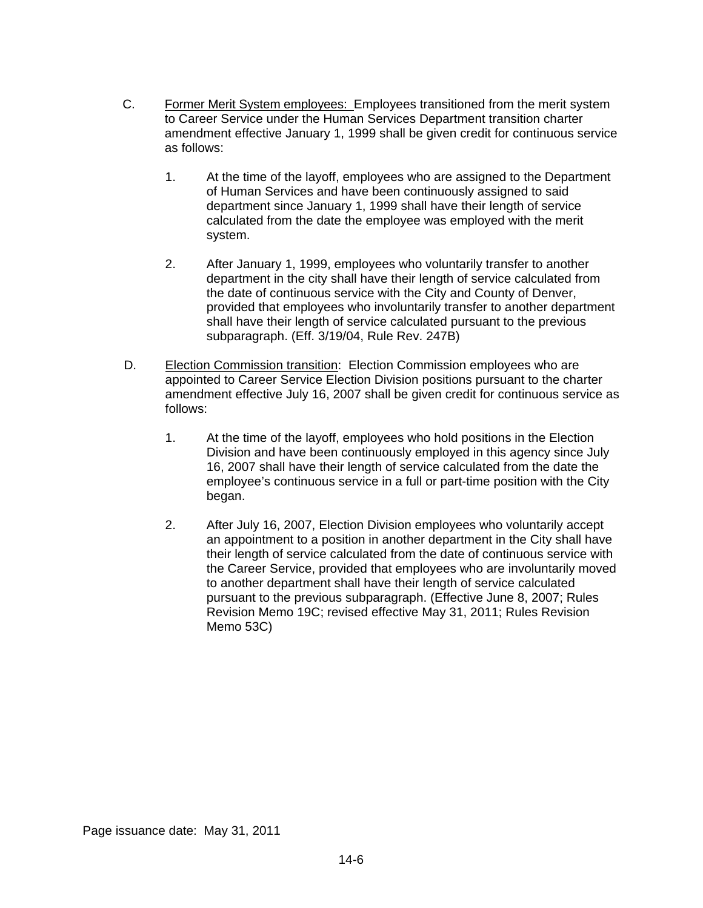- C. Former Merit System employees: Employees transitioned from the merit system to Career Service under the Human Services Department transition charter amendment effective January 1, 1999 shall be given credit for continuous service as follows:
	- 1. At the time of the layoff, employees who are assigned to the Department of Human Services and have been continuously assigned to said department since January 1, 1999 shall have their length of service calculated from the date the employee was employed with the merit system.
	- 2. After January 1, 1999, employees who voluntarily transfer to another department in the city shall have their length of service calculated from the date of continuous service with the City and County of Denver, provided that employees who involuntarily transfer to another department shall have their length of service calculated pursuant to the previous subparagraph. (Eff. 3/19/04, Rule Rev. 247B)
- D. Election Commission transition: Election Commission employees who are appointed to Career Service Election Division positions pursuant to the charter amendment effective July 16, 2007 shall be given credit for continuous service as follows:
	- 1. At the time of the layoff, employees who hold positions in the Election Division and have been continuously employed in this agency since July 16, 2007 shall have their length of service calculated from the date the employee's continuous service in a full or part-time position with the City began.
	- 2. After July 16, 2007, Election Division employees who voluntarily accept an appointment to a position in another department in the City shall have their length of service calculated from the date of continuous service with the Career Service, provided that employees who are involuntarily moved to another department shall have their length of service calculated pursuant to the previous subparagraph. (Effective June 8, 2007; Rules Revision Memo 19C; revised effective May 31, 2011; Rules Revision Memo 53C)

Page issuance date: May 31, 2011